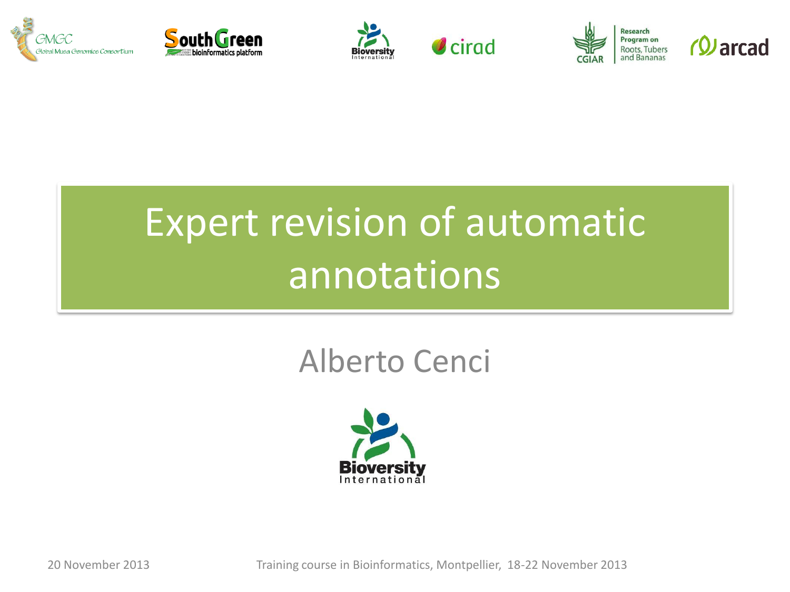











# Expert revision of automatic annotations

## Alberto Cenci



20 November 2013 Training course in Bioinformatics, Montpellier, 18-22 November 2013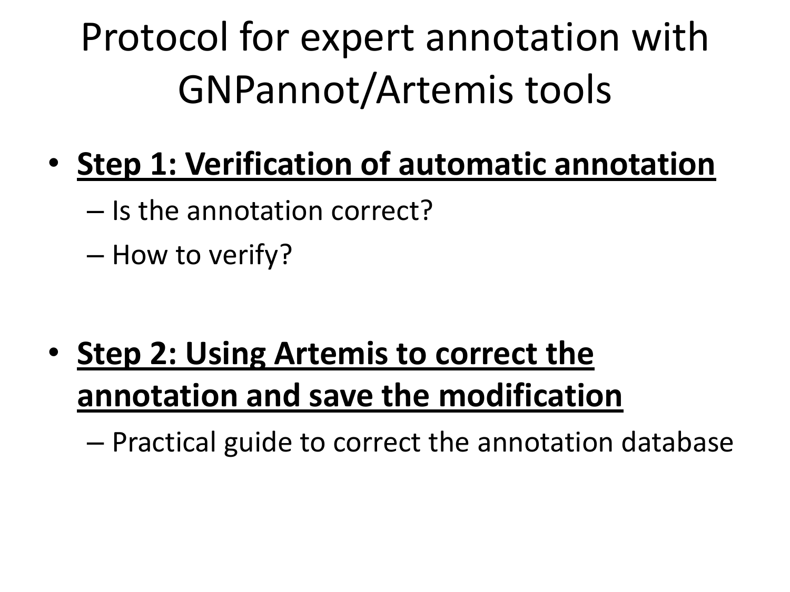Protocol for expert annotation with GNPannot/Artemis tools

- **Step 1: Verification of automatic annotation**
	- Is the annotation correct?

– How to verify?

• **Step 2: Using Artemis to correct the annotation and save the modification**

– Practical guide to correct the annotation database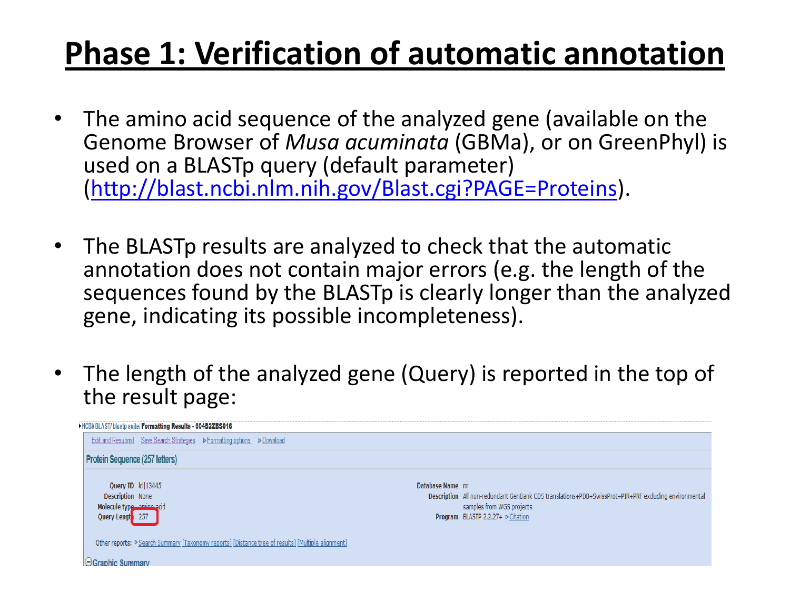- The amino acid sequence of the analyzed gene (available on the Genome Browser of *Musa acuminata* (GBMa), or on GreenPhyl) is used on a BLASTp query (default parameter) ([http://blast.ncbi.nlm.nih.gov/Blast.cgi?PAGE=Proteins\)](http://blast.ncbi.nlm.nih.gov/Blast.cgi?PAGE=Proteins).
- The BLASTp results are analyzed to check that the automatic annotation does not contain major errors (e.g. the length of the sequences found by the BLASTp is clearly longer than the analyzed gene, indicating its possible incompleteness).
- The length of the analyzed gene (Query) is reported in the top of the result page:

| NCBI/BLAST/blastp suite/Formatting Results - 604B2ZBS016                                           |                                                                                                                                                                                                                  |
|----------------------------------------------------------------------------------------------------|------------------------------------------------------------------------------------------------------------------------------------------------------------------------------------------------------------------|
| Edit and Resubmit Save Search Strategies PFormatting options PDownload                             |                                                                                                                                                                                                                  |
| <b>Protein Sequence (257 letters)</b>                                                              |                                                                                                                                                                                                                  |
| Query ID  c  13445<br><b>Description None</b><br>Molecule type amine acid<br>Query Lengt 257       | Database Name nr<br>Description All non-redundant GenBank CDS translations+PDB+SwissProt+PIR+PRF excluding environmental<br>samples from WGS projects<br><b>Program</b> BLASTP 2.2.27+ $\triangleright$ Citation |
| Other reports: P Search Summary [Taxonomy reports] [Distance tree of results] [Multiple alignment] |                                                                                                                                                                                                                  |
| $\Box$ Graphic Summary                                                                             |                                                                                                                                                                                                                  |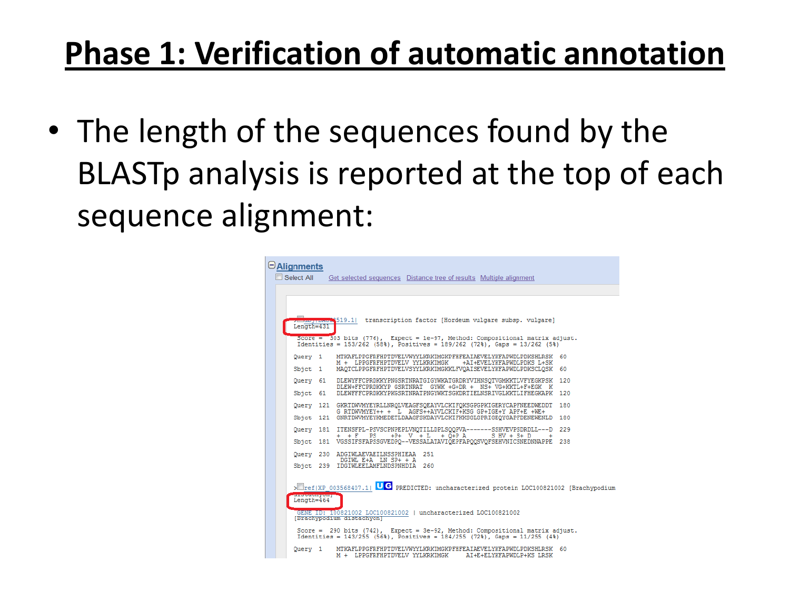• The length of the sequences found by the BLASTp analysis is reported at the top of each sequence alignment:

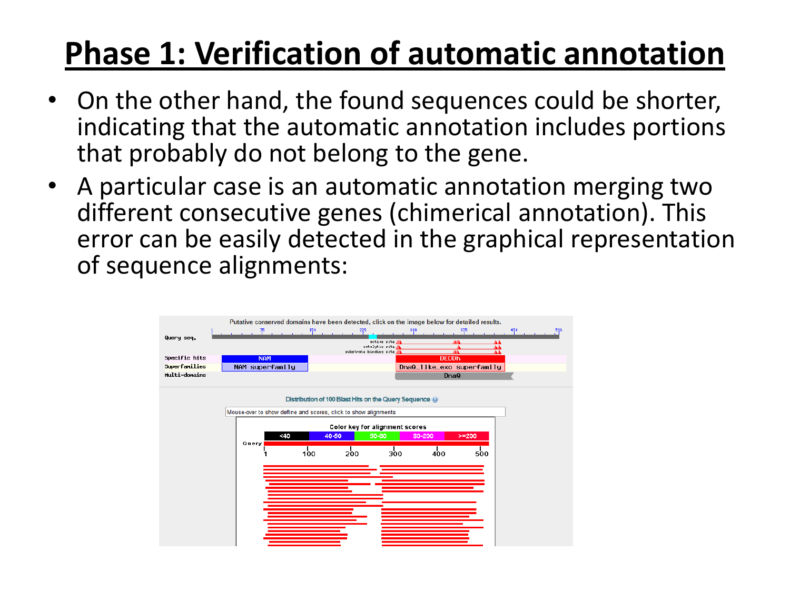- On the other hand, the found sequences could be shorter, indicating that the automatic annotation includes portions that probably do not belong to the gene.
- A particular case is an automatic annotation merging two different consecutive genes (chimerical annotation). This error can be easily detected in the graphical representation of sequence alignments:

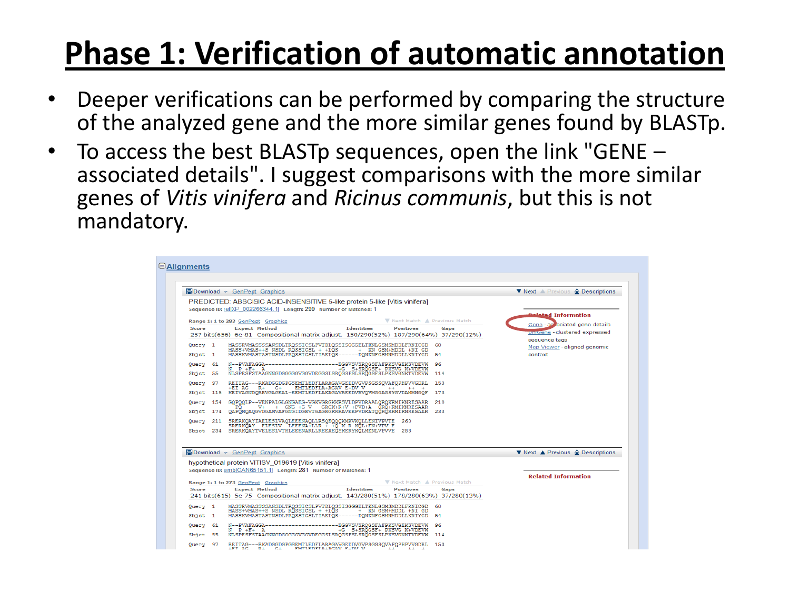- Deeper verifications can be performed by comparing the structure of the analyzed gene and the more similar genes found by BLASTp.
- To access the best BLASTp sequences, open the link "GENE associated details". I suggest comparisons with the more similar genes of *Vitis vinifera* and *Ricinus communis*, but this is not mandatory.

|              | <b>H</b> Download v GenPept Graphics                                                                                                   | ▼ Next A Previous A Descriptions              |
|--------------|----------------------------------------------------------------------------------------------------------------------------------------|-----------------------------------------------|
|              | PREDICTED: ABSCISIC ACID-INSENSITIVE 5-like protein 5-like [Vitis vinifera]                                                            |                                               |
|              | Sequence ID: ref(XP 002266344.1) Length: 299 Number of Matches: 1                                                                      |                                               |
|              | ▼ Next Match ▲ Previous Match<br>Range 1: 1 to 283 GenPept Graphics                                                                    | <b>Related Information</b>                    |
| <b>Score</b> | <b>Identifies</b><br><b>Expect Method</b><br><b>Positives</b><br>Gaps                                                                  | Gene - as ociated gene details                |
|              | 257 bits(656) 6e-81 Compositional matrix adjust. 150/290(52%) 187/290(64%) 37/290(12%)                                                 | uniGene - clustered expressed                 |
| Query 1      | MASSRVMASSSSANSDLTRQSSICSLPVTDLQSSISGGGELTKNLGSMSMDDLFRNICGD<br>-60                                                                    | sequence tags<br>Map Viewer - aligned genomic |
| $S$ bjct $1$ | MASS+VMAS++S NSDL RQSSICSL + +LQS<br>+ KN GSM+MDDL +NI GD<br>MASSKVMASTASTNSDLPRÖSSICSLTIAELÖS------DONKNFGSMNMDDLLKNIYGD<br>54        | context                                       |
| Query 61     | N--PVAFAGGA---------------------EGGVSVSRQGSFAFPKSVGEKSVDEVW<br>96<br>$N$ $P$ + $F$ + $A$<br>+G S+SROGSF+ PKSVG K+VDEVW                 |                                               |
| Sbjct 55     | NLSPESFSTAAGNNGDGGGGGVGGVDEGGSLSRQGSFSLSRQGSFSLPKSVGNKTVDEVW<br>114                                                                    |                                               |
| Query 97     | REITAG---RKADGGDGPGSEMTLEDFLARAGAVGEDDVGVPSGSSQVAFQPHPVVGDRL 153<br>$+EI$ AG R+ G+<br>EMTLEDFLA+AGAV E+DV V<br>$++$<br>$++ +$          |                                               |
|              | Sbict 115 KEIVAGNDORRVGAGEAL-EEMTLEDFLAKAGAVREEDVRVOVMGGAGSYGVDAMMNGOF<br>173                                                          |                                               |
|              | Ouerv 154 GOPOOLP--VENPALGLGNGAEG-VGKVGRGKKRSVLDPVDRAALOROKRMIKNRESAAR<br>-210<br>V+ + GNG +G V GRGK+R+V +PVD+A QRQ+RMIKNRESAAR<br>PO. |                                               |
| $Sbict$ 174  | OAPÓMOAOGVDGAMVAFGNGIDGRVTGAGRGKRRAVEEPVDKATQÖRÖRRMIKNRESAAR<br>233                                                                    |                                               |
|              | Query 211 SRERKQAYIAELESLVAQLEEENAQLLRSQEQQQKMRVKQLLENIVPVTE 260<br>SRERKOAY ELESLV LEEENA+LLR + +Q K R KOL+EN+VPV E                   |                                               |
|              | Sbict 234 SRERKÖAYTVELESLVTHLEEENARLLREEAEÖSKERYKÖLMENLVPVVE 283                                                                       |                                               |
|              |                                                                                                                                        |                                               |
|              | <b>H</b> Download ~ GenPept Graphics                                                                                                   | ▼ Next ▲ Previous ▲ Descriptions              |
|              | hypothetical protein VITISV 019619 [Vitis vinifera]                                                                                    |                                               |
|              | Sequence ID: emb CAN65151.1  Length: 281 Number of Matches: 1                                                                          |                                               |
|              | ▼ Next Match ▲ Previous Match<br>Range 1: 1 to 273 GenPept Graphics                                                                    | <b>Related Information</b>                    |
| <b>Score</b> | <b>Identities</b><br><b>Expect Method</b><br><b>Positives</b><br><b>Gaps</b>                                                           |                                               |
|              | 241 bits(615) 5e-75 Compositional matrix adjust. 143/280(51%) 178/280(63%) 37/280(13%)                                                 |                                               |
| Query 1      | MASSRVMASSSSANSDLTRQSSICSLPVTDLQSSISGGGELTKNLGSMSMDDLFRNICGD<br>-60                                                                    |                                               |
| $S$ bjct $1$ | MASS+VMAS++S NSDL RÖSSICSL + +LÖS<br>+ KN GSM+MDDL +NI GD<br>MASSKVMASTASTNSDLPRÖSSICSLTIAELÖS------DONKNFGSMNMDDLLKNIYGD<br>54        |                                               |
|              |                                                                                                                                        |                                               |
| Query 61     | N--PVAFAGGA---------------------EGGVSVSROGSFAFPKSVGEKSVDEVW<br>96<br>+G S+SRQGSF+ PKSVG K+VDEVW<br>$N$ $P$ $+F$ $+$ $R$                |                                               |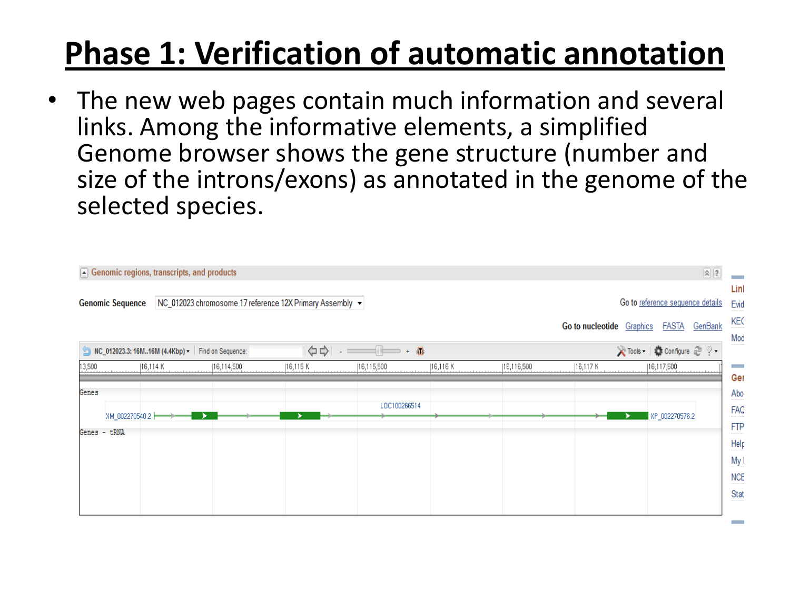• The new web pages contain much information and several links. Among the informative elements, a simplified Genome browser shows the gene structure (number and size of the introns/exons) as annotated in the genome of the selected species.

|                                                                                                                                                                                                                                                                                                                                                                                                                                              | $\boxed{\blacktriangle}$ Genomic regions, transcripts, and products |            |          |              |            |            |            | $\boxed{\mathbf{2}}$                                                             |  |  |  |  |
|----------------------------------------------------------------------------------------------------------------------------------------------------------------------------------------------------------------------------------------------------------------------------------------------------------------------------------------------------------------------------------------------------------------------------------------------|---------------------------------------------------------------------|------------|----------|--------------|------------|------------|------------|----------------------------------------------------------------------------------|--|--|--|--|
| Go to reference sequence details<br>NC_012023 chromosome 17 reference 12X Primary Assembly v<br><b>Genomic Sequence</b><br>Go to nucleotide Graphics<br><b>FASTA</b><br><u>GenBank</u>                                                                                                                                                                                                                                                       |                                                                     |            |          |              |            |            |            |                                                                                  |  |  |  |  |
| Mod<br>※Tools   ● Configure 2 ? -<br>$\begin{picture}(150,10) \put(0,0){\line(1,0){10}} \put(15,0){\line(1,0){10}} \put(15,0){\line(1,0){10}} \put(15,0){\line(1,0){10}} \put(15,0){\line(1,0){10}} \put(15,0){\line(1,0){10}} \put(15,0){\line(1,0){10}} \put(15,0){\line(1,0){10}} \put(15,0){\line(1,0){10}} \put(15,0){\line(1,0){10}} \put(15,0){\line(1,0){10}} \put(15,0){\line($<br>MC_012023.3: 16M16M (4.4Kbp) - Find on Sequence: |                                                                     |            |          |              |            |            |            |                                                                                  |  |  |  |  |
| 13,500                                                                                                                                                                                                                                                                                                                                                                                                                                       | [16,114 K]                                                          | 16,114,500 | 16,115 K | 16,115,500   | [16,116 K] | 16,116,500 | [16,117 K] | 16,117,500<br><b>Contract</b>                                                    |  |  |  |  |
| Genes<br>XM_002270540.2 H<br>Genes - tRNA                                                                                                                                                                                                                                                                                                                                                                                                    |                                                                     |            |          | LOC100266514 |            |            |            | Ger<br>Abo<br>FAQ<br>XP_002270576.2<br>FTP<br>Help<br>My I<br><b>NCE</b><br>Stat |  |  |  |  |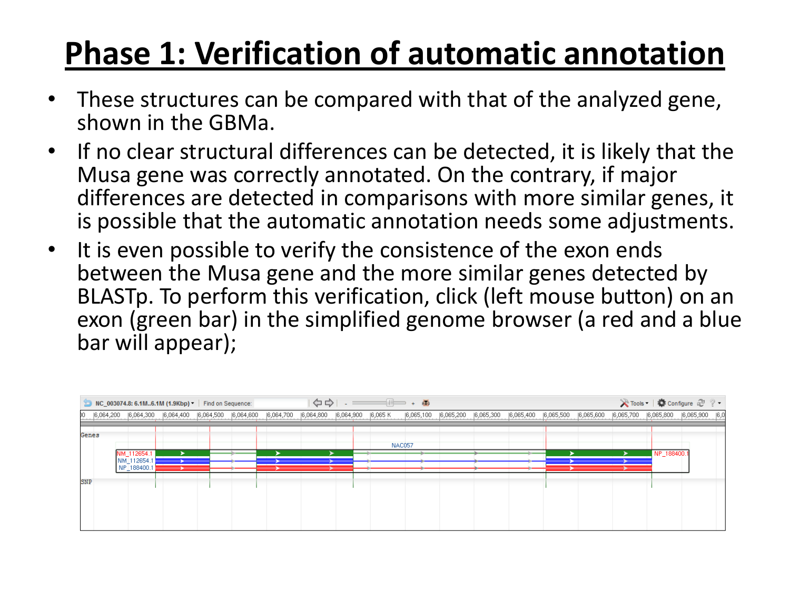- These structures can be compared with that of the analyzed gene, shown in the GBMa.
- If no clear structural differences can be detected, it is likely that the Musa gene was correctly annotated. On the contrary, if major differences are detected in comparisons with more similar genes, it is possible that the automatic annotation needs some adjustments.
- It is even possible to verify the consistence of the exon ends between the Musa gene and the more similar genes detected by BLASTp. To perform this verification, click (left mouse button) on an exon (green bar) in the simplified genome browser (a red and a blue bar will appear);

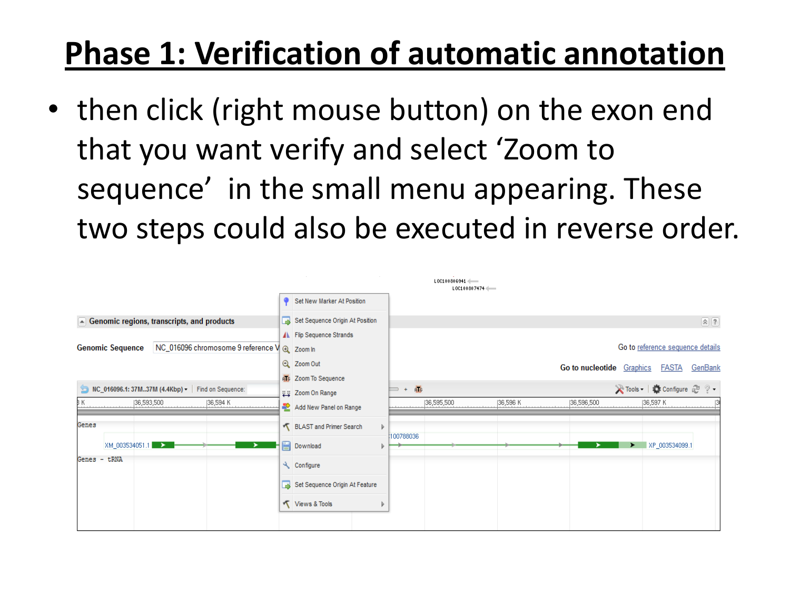• then click (right mouse button) on the exon end that you want verify and select 'Zoom to sequence' in the small menu appearing. These two steps could also be executed in reverse order.

|                                                                         |   |                                 |                           | $L0C100806941$ $\longleftarrow$<br>LOC100807474 |           |            |                                   |  |  |  |
|-------------------------------------------------------------------------|---|---------------------------------|---------------------------|-------------------------------------------------|-----------|------------|-----------------------------------|--|--|--|
|                                                                         | ۰ | Set New Marker At Position      |                           |                                                 |           |            |                                   |  |  |  |
| $\blacktriangle$ Genomic regions, transcripts, and products             |   | Set Sequence Origin At Position |                           |                                                 |           |            | $\Omega$                          |  |  |  |
|                                                                         |   | ▲ Flip Sequence Strands         |                           |                                                 |           |            |                                   |  |  |  |
| NC_016096 chromosome 9 reference V @ Zoom In<br><b>Genomic Sequence</b> |   |                                 |                           |                                                 |           |            | Go to reference sequence details  |  |  |  |
|                                                                         |   | Q Zoom Out                      | Go to nucleotide Graphics |                                                 |           |            |                                   |  |  |  |
|                                                                         |   | ATC Zoom To Sequence            |                           |                                                 |           |            | <b>FASTA</b><br><u>GenBank</u>    |  |  |  |
| NC_016096.1: 37M37M (4.4Kbp) - Find on Sequence:                        |   | Zoom On Range                   |                           |                                                 |           |            | in Tools -   in Configure a ? ? - |  |  |  |
| К<br>36,593,500<br>[36,594 K]                                           |   | Add New Panel on Range          |                           | 36,595,500                                      | [36,596 K | 36,596,500 | [36,597 K]                        |  |  |  |
| Genes                                                                   |   | BLAST and Primer Search<br>Þ    | 100788036                 |                                                 |           |            |                                   |  |  |  |
| XM_003534051.1<br>➤                                                     |   | <b>Download</b>                 |                           |                                                 |           |            | XP_003534099.1                    |  |  |  |
| Genes - tRNA                                                            |   | Configure                       |                           |                                                 |           |            |                                   |  |  |  |
|                                                                         |   | Set Sequence Origin At Feature  |                           |                                                 |           |            |                                   |  |  |  |
|                                                                         |   | Views & Tools                   |                           |                                                 |           |            |                                   |  |  |  |
|                                                                         |   |                                 |                           |                                                 |           |            |                                   |  |  |  |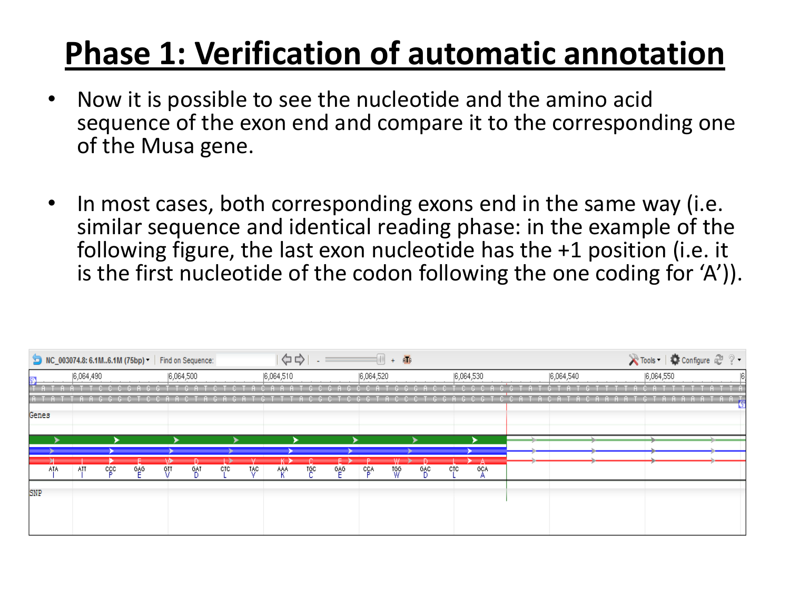- Now it is possible to see the nucleotide and the amino acid sequence of the exon end and compare it to the corresponding one of the Musa gene.
- In most cases, both corresponding exons end in the same way (i.e. similar sequence and identical reading phase: in the example of the following figure, the last exon nucleotide has the +1 position (i.e. it is the first nucleotide of the codon following the one coding for 'A')).

|       | MC_003074.8: 6.1M6.1M (75bp) v   Find on Sequence: |     |     |     |           |      |      | ☆☆        |     |   |            | $\Box$<br>$\overline{\textbf{H}}$<br>$+$ |      |     |            |           |  |           | <b>X</b> Tools │ ● Configure 2 ? • |
|-------|----------------------------------------------------|-----|-----|-----|-----------|------|------|-----------|-----|---|------------|------------------------------------------|------|-----|------------|-----------|--|-----------|------------------------------------|
|       | 6,064,490                                          |     |     |     | 6,064,500 |      |      | 6,064,510 |     |   | 6,064,520  |                                          |      |     | 6,064,530  | 6,064,540 |  | 6,064,550 |                                    |
|       |                                                    |     |     |     |           |      |      |           |     |   |            |                                          |      |     |            |           |  |           |                                    |
|       |                                                    |     |     |     |           |      |      |           |     |   |            |                                          |      |     |            |           |  |           |                                    |
| Genes |                                                    |     |     |     |           |      |      |           |     |   |            |                                          |      |     |            |           |  |           |                                    |
|       |                                                    |     |     |     |           |      |      |           |     |   |            |                                          |      |     |            |           |  |           |                                    |
|       |                                                    |     |     |     |           |      |      |           |     |   |            |                                          |      |     |            |           |  |           |                                    |
| ATA.  | ATT                                                | cgo | 686 | 6IJ | -GAT      | CTC. | TAC. | AAA       | TğC | 일 | <b>CCA</b> | W                                        | . %° | ctc | <b>GCA</b> |           |  |           |                                    |
|       |                                                    |     |     |     |           |      |      |           |     |   |            |                                          |      |     |            |           |  |           |                                    |
| SNP   |                                                    |     |     |     |           |      |      |           |     |   |            |                                          |      |     |            |           |  |           |                                    |
|       |                                                    |     |     |     |           |      |      |           |     |   |            |                                          |      |     |            |           |  |           |                                    |
|       |                                                    |     |     |     |           |      |      |           |     |   |            |                                          |      |     |            |           |  |           |                                    |
|       |                                                    |     |     |     |           |      |      |           |     |   |            |                                          |      |     |            |           |  |           |                                    |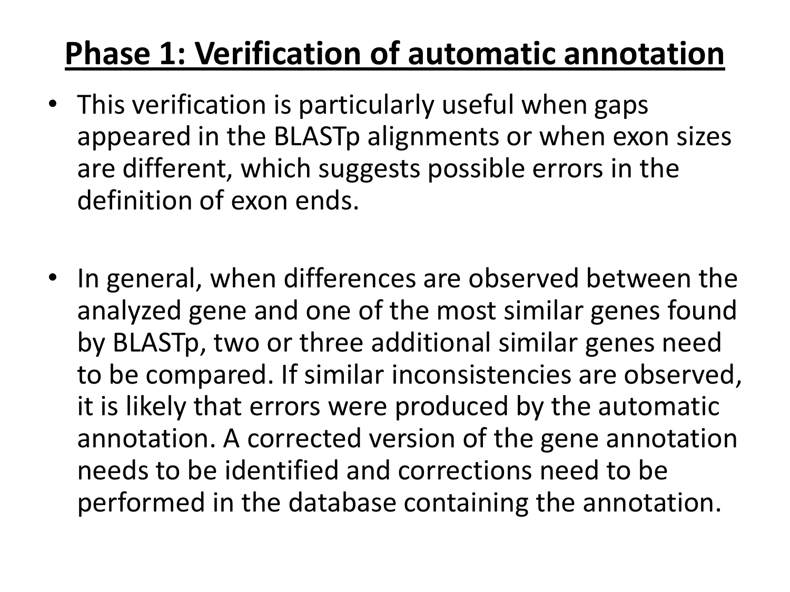- This verification is particularly useful when gaps appeared in the BLASTp alignments or when exon sizes are different, which suggests possible errors in the definition of exon ends.
- In general, when differences are observed between the analyzed gene and one of the most similar genes found by BLASTp, two or three additional similar genes need to be compared. If similar inconsistencies are observed, it is likely that errors were produced by the automatic annotation. A corrected version of the gene annotation needs to be identified and corrections need to be performed in the database containing the annotation.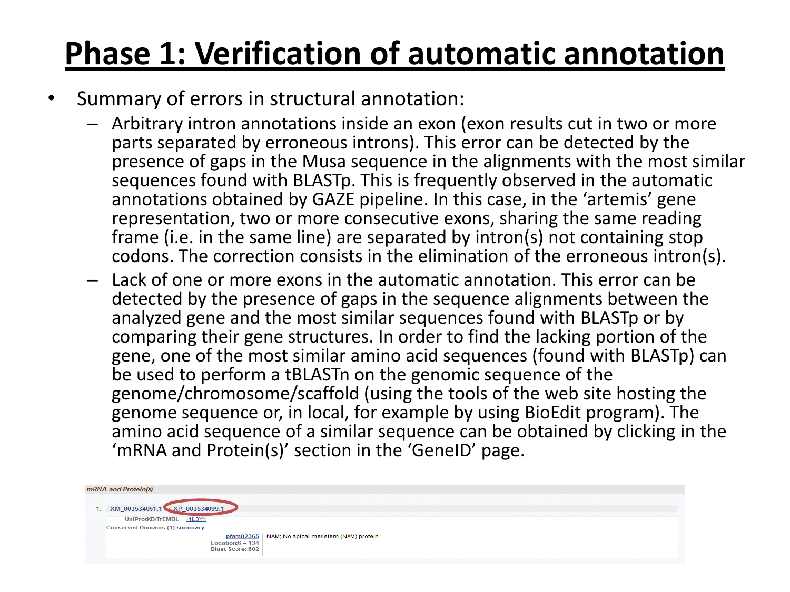- Summary of errors in structural annotation:
	- Arbitrary intron annotations inside an exon (exon results cut in two or more parts separated by erroneous introns). This error can be detected by the presence of gaps in the Musa sequence in the alignments with the most similar sequences found with BLASTp. This is frequently observed in the automatic annotations obtained by GAZE pipeline. In this case, in the 'artemis' gene representation, two or more consecutive exons, sharing the same reading frame (i.e. in the same line) are separated by intron(s) not containing stop codons. The correction consists in the elimination of the erroneous intron(s).
	- Lack of one or more exons in the automatic annotation. This error can be detected by the presence of gaps in the sequence alignments between the analyzed gene and the most similar sequences found with BLASTp or by comparing their gene structures. In order to find the lacking portion of the gene, one of the most similar amino acid sequences (found with BLASTp) can be used to perform a tBLASTn on the genomic sequence of the genome/chromosome/scaffold (using the tools of the web site hosting the genome sequence or, in local, for example by using BioEdit program). The amino acid sequence of a similar sequence can be obtained by clicking in the 'mRNA and Protein(s)' section in the 'GeneID' page.

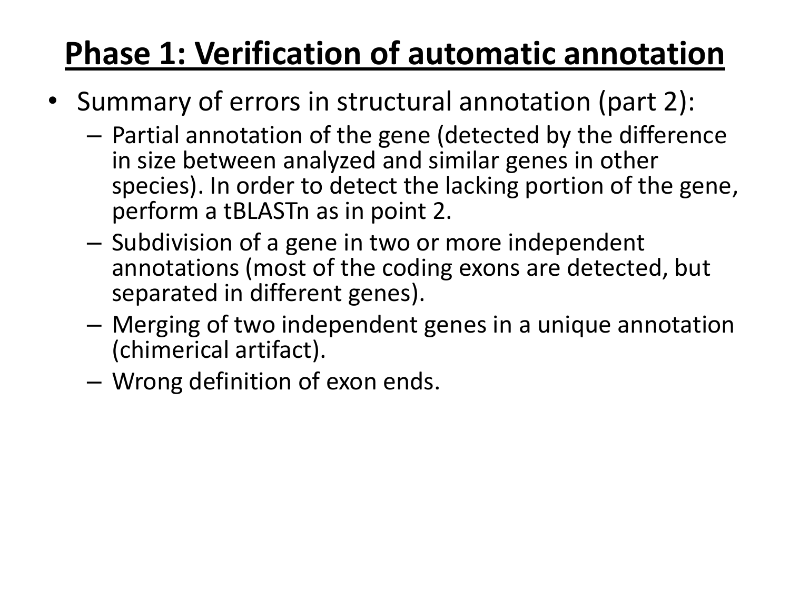- Summary of errors in structural annotation (part 2):
	- Partial annotation of the gene (detected by the difference in size between analyzed and similar genes in other species). In order to detect the lacking portion of the gene, perform a tBLASTn as in point 2.
	- Subdivision of a gene in two or more independent annotations (most of the coding exons are detected, but separated in different genes).
	- Merging of two independent genes in a unique annotation (chimerical artifact).
	- Wrong definition of exon ends.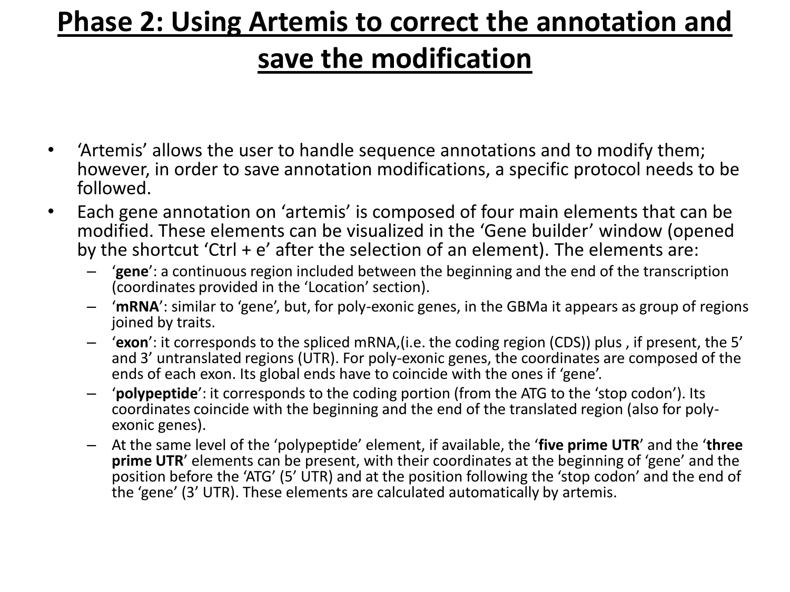#### **save the modification**

- 'Artemis' allows the user to handle sequence annotations and to modify them; however, in order to save annotation modifications, a specific protocol needs to be followed.
- Each gene annotation on 'artemis' is composed of four main elements that can be modified. These elements can be visualized in the 'Gene builder' window (opened by the shortcut 'Ctrl + e' after the selection of an element). The elements are:
	- '**gene**': a continuous region included between the beginning and the end of the transcription (coordinates provided in the 'Location' section).
	- '**mRNA**': similar to 'gene', but, for poly-exonic genes, in the GBMa it appears as group of regions joined by traits.
	- '**exon**': it corresponds to the spliced mRNA,(i.e. the coding region (CDS)) plus , if present, the 5' and 3' untranslated regions (UTR). For poly-exonic genes, the coordinates are composed of the ends of each exon. Its global ends have to coincide with the ones if 'gene'.
	- '**polypeptide**': it corresponds to the coding portion (from the ATG to the 'stop codon'). Its coordinates coincide with the beginning and the end of the translated region (also for polyexonic genes).
	- At the same level of the 'polypeptide' element, if available, the '**five prime UTR**' and the '**three prime UTR**' elements can be present, with their coordinates at the beginning of 'gene' and the position before the 'ATG' (5' UTR) and at the position following the 'stop codon' and the end of the 'gene' (3' UTR). These elements are calculated automatically by artemis.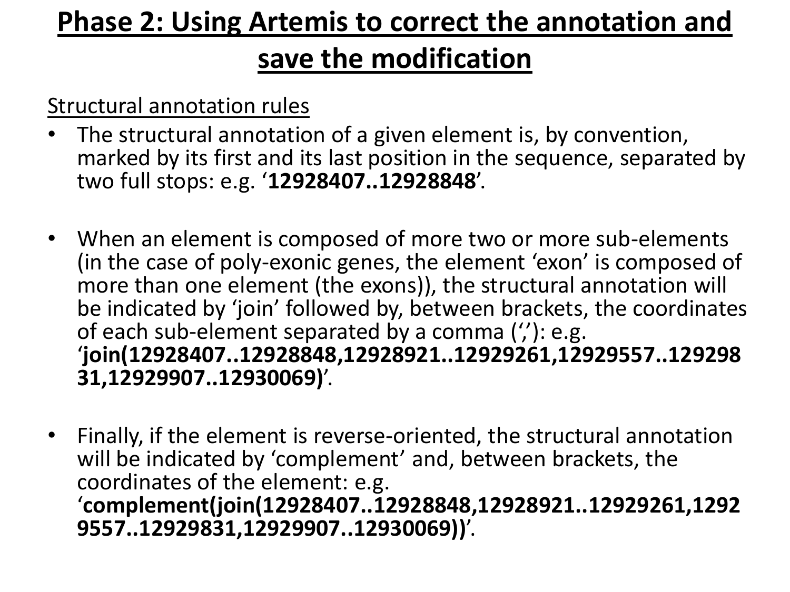#### **save the modification**

Structural annotation rules

- The structural annotation of a given element is, by convention, marked by its first and its last position in the sequence, separated by two full stops: e.g. '**12928407..12928848**'.
- When an element is composed of more two or more sub-elements (in the case of poly-exonic genes, the element 'exon' is composed of more than one element (the exons)), the structural annotation will be indicated by 'join' followed by, between brackets, the coordinates of each sub-element separated by a comma (''): e.g. '**join(12928407..12928848,12928921..12929261,12929557..129298 31,12929907..12930069)**'.
- Finally, if the element is reverse-oriented, the structural annotation will be indicated by 'complement' and, between brackets, the coordinates of the element: e.g. '**complement(join(12928407..12928848,12928921..12929261,1292 9557..12929831,12929907..12930069))**'.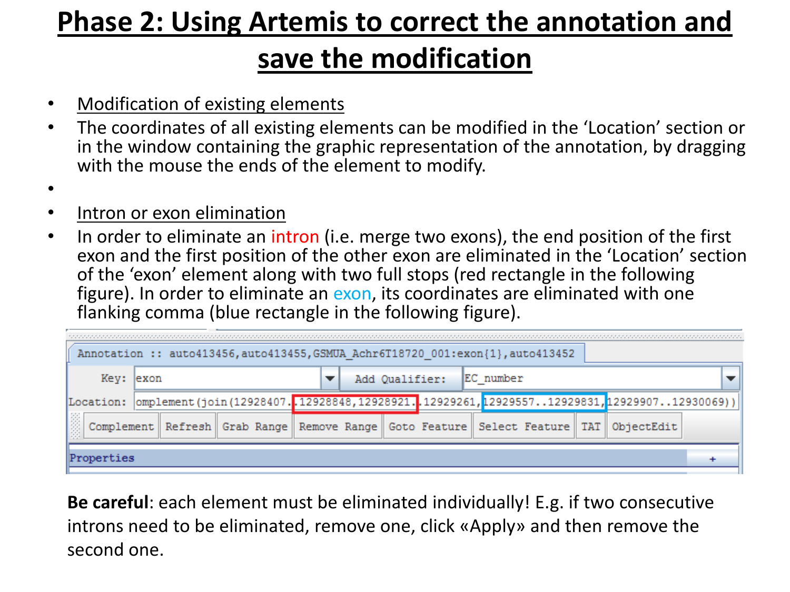#### **save the modification**

- Modification of existing elements
- The coordinates of all existing elements can be modified in the 'Location' section or in the window containing the graphic representation of the annotation, by dragging with the mouse the ends of the element to modify.
- •
- Intron or exon elimination
- In order to eliminate an intron (i.e. merge two exons), the end position of the first exon and the first position of the other exon are eliminated in the 'Location' section of the 'exon' element along with two full stops (red rectangle in the following figure). In order to eliminate an exon, its coordinates are eliminated with one flanking comma (blue rectangle in the following figure).

| Annotation :: auto413456, auto413455, GSMUA Achr6T18720 001:exon{1}, auto413452 |  |  |  |                |                                                                                                      |            |  |  |  |  |  |  |
|---------------------------------------------------------------------------------|--|--|--|----------------|------------------------------------------------------------------------------------------------------|------------|--|--|--|--|--|--|
| Key: exon                                                                       |  |  |  | Add Qualifier: | EC number                                                                                            |            |  |  |  |  |  |  |
|                                                                                 |  |  |  |                | [Location:  omplement(join(12928407.012928848,12928921.012929261,1292955712929831,1292990712930069)) |            |  |  |  |  |  |  |
| 團                                                                               |  |  |  |                | Complement   Refresh   Grab Range   Remove Range   Goto Feature   Select Feature   TAT               | ObjectEdit |  |  |  |  |  |  |
| Properties                                                                      |  |  |  |                |                                                                                                      |            |  |  |  |  |  |  |

**Be careful**: each element must be eliminated individually! E.g. if two consecutive introns need to be eliminated, remove one, click «Apply» and then remove the second one.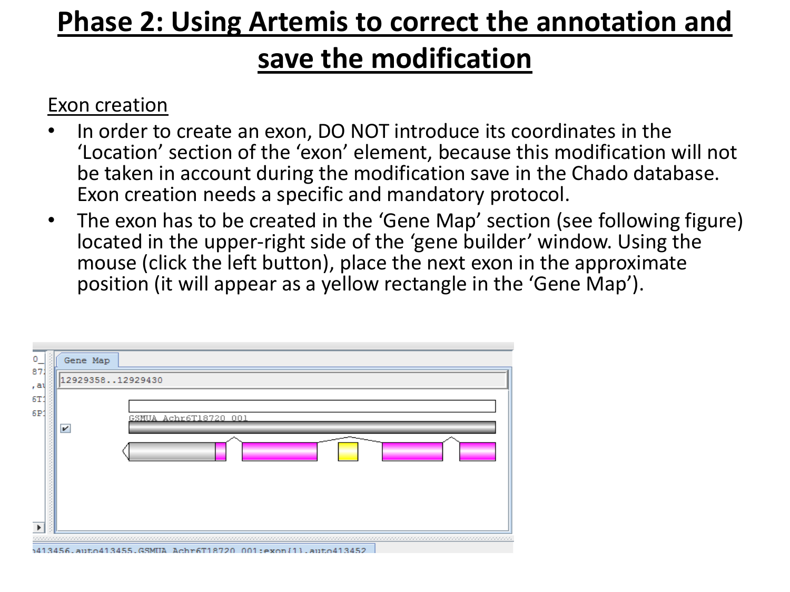#### **save the modification**

#### Exon creation

- In order to create an exon, DO NOT introduce its coordinates in the 'Location' section of the 'exon' element, because this modification will not be taken in account during the modification save in the Chado database. Exon creation needs a specific and mandatory protocol.
- The exon has to be created in the 'Gene Map' section (see following figure) located in the upper-right side of the 'gene builder' window. Using the mouse (click the left button), place the next exon in the approximate position (it will appear as a yellow rectangle in the 'Gene Map').

| Gene Map         |                       |  |
|------------------|-----------------------|--|
| 1292935812929430 |                       |  |
| V                | GSMUA Achr6T18720 001 |  |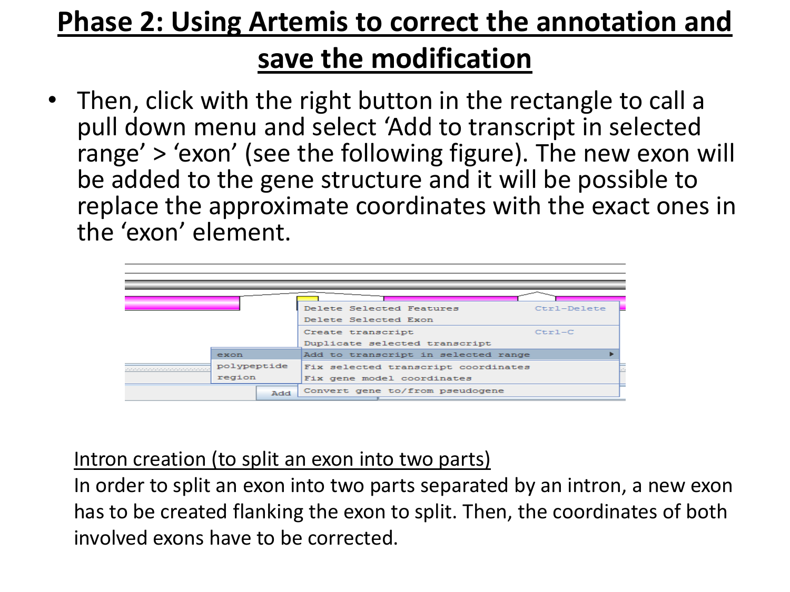• Then, click with the right button in the rectangle to call a pull down menu and select 'Add to transcript in selected range' > 'exon' (see the following figure). The new exon will be added to the gene structure and it will be possible to replace the approximate coordinates with the exact ones in the 'exon' element.

|             |     | Delete Selected Features            | Ctrl-Delete |  |  |  |  |
|-------------|-----|-------------------------------------|-------------|--|--|--|--|
|             |     | Delete Selected Exon                |             |  |  |  |  |
|             |     | Create transcript                   | $Ctr1-C$    |  |  |  |  |
|             |     | Duplicate selected transcript       |             |  |  |  |  |
| exon        |     | Add to transcript in selected range |             |  |  |  |  |
| polypeptide |     | Fix selected transcript coordinates |             |  |  |  |  |
| region      |     | Fix gene model coordinates          |             |  |  |  |  |
|             | Add | Convert gene to/from pseudogene     |             |  |  |  |  |

#### Intron creation (to split an exon into two parts)

In order to split an exon into two parts separated by an intron, a new exon has to be created flanking the exon to split. Then, the coordinates of both involved exons have to be corrected.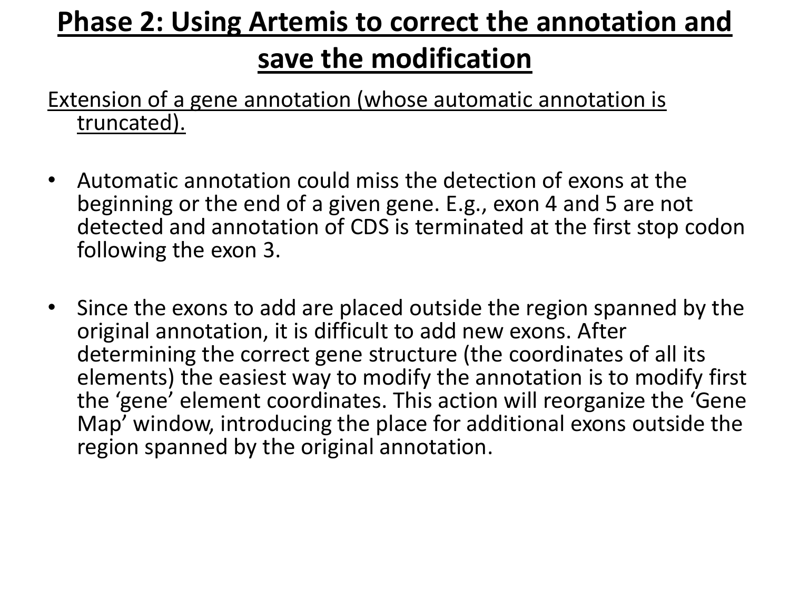Extension of a gene annotation (whose automatic annotation is truncated).

- Automatic annotation could miss the detection of exons at the beginning or the end of a given gene. E.g., exon 4 and 5 are not detected and annotation of CDS is terminated at the first stop codon following the exon 3.
- Since the exons to add are placed outside the region spanned by the original annotation, it is difficult to add new exons. After determining the correct gene structure (the coordinates of all its elements) the easiest way to modify the annotation is to modify first the 'gene' element coordinates. This action will reorganize the 'Gene Map' window, introducing the place for additional exons outside the region spanned by the original annotation.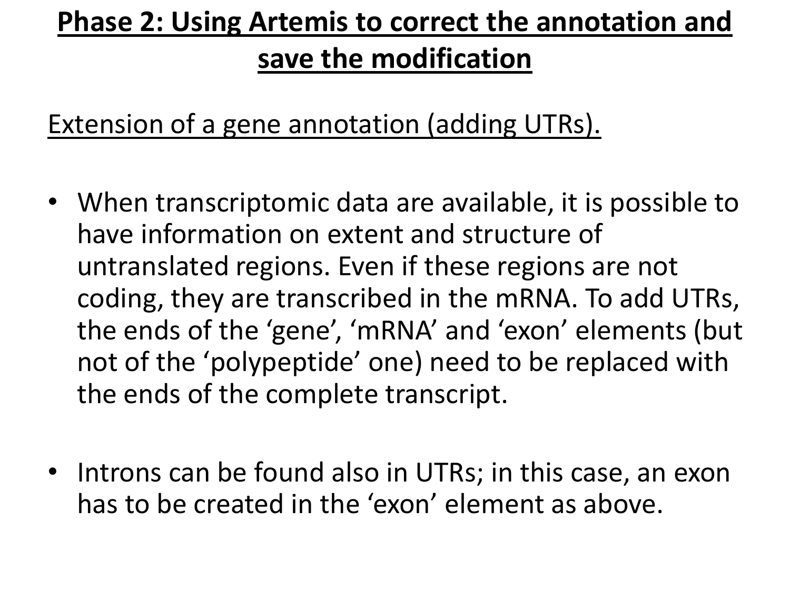Extension of a gene annotation (adding UTRs).

- When transcriptomic data are available, it is possible to have information on extent and structure of untranslated regions. Even if these regions are not coding, they are transcribed in the mRNA. To add UTRs, the ends of the 'gene', 'mRNA' and 'exon' elements (but not of the 'polypeptide' one) need to be replaced with the ends of the complete transcript.
- Introns can be found also in UTRs; in this case, an exon has to be created in the 'exon' element as above.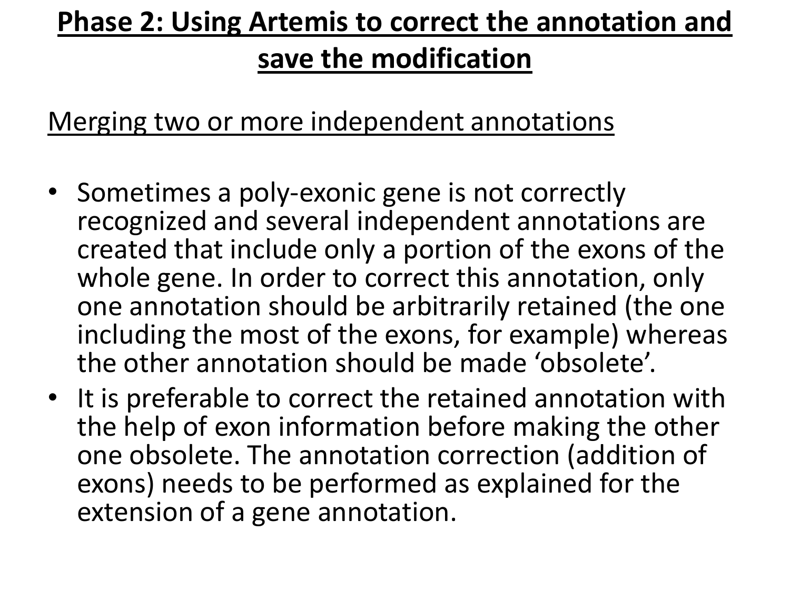Merging two or more independent annotations

- Sometimes a poly-exonic gene is not correctly recognized and several independent annotations are created that include only a portion of the exons of the whole gene. In order to correct this annotation, only one annotation should be arbitrarily retained (the one including the most of the exons, for example) whereas the other annotation should be made 'obsolete'.
- It is preferable to correct the retained annotation with the help of exon information before making the other one obsolete. The annotation correction (addition of exons) needs to be performed as explained for the extension of a gene annotation.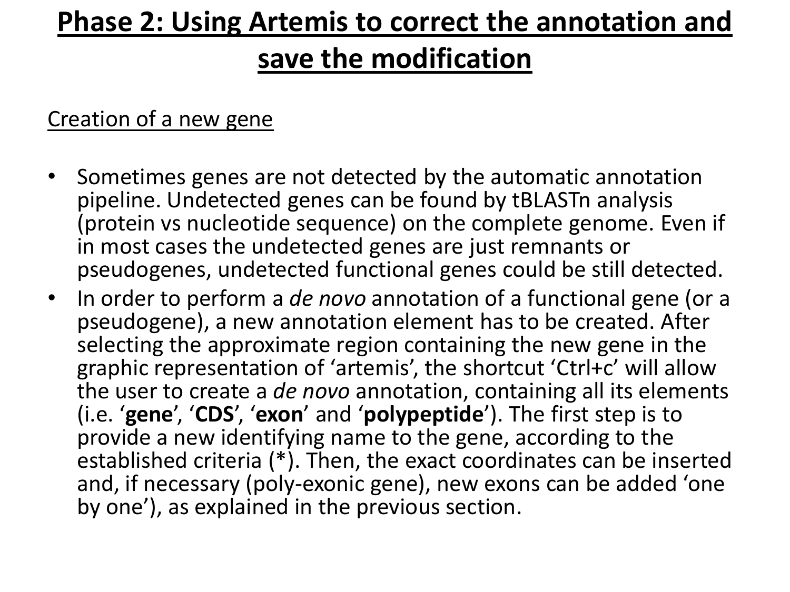#### **save the modification**

#### Creation of a new gene

- Sometimes genes are not detected by the automatic annotation pipeline. Undetected genes can be found by tBLASTn analysis (protein vs nucleotide sequence) on the complete genome. Even if in most cases the undetected genes are just remnants or pseudogenes, undetected functional genes could be still detected.
- In order to perform a *de novo* annotation of a functional gene (or a pseudogene), a new annotation element has to be created. After selecting the approximate region containing the new gene in the graphic representation of 'artemis', the shortcut 'Ctrl+c' will allow the user to create a *de novo* annotation, containing all its elements (i.e. '**gene**', '**CDS**', '**exon**' and '**polypeptide**'). The first step is to provide a new identifying name to the gene, according to the established criteria (\*). Then, the exact coordinates can be inserted and, if necessary (poly-exonic gene), new exons can be added 'one by one'), as explained in the previous section.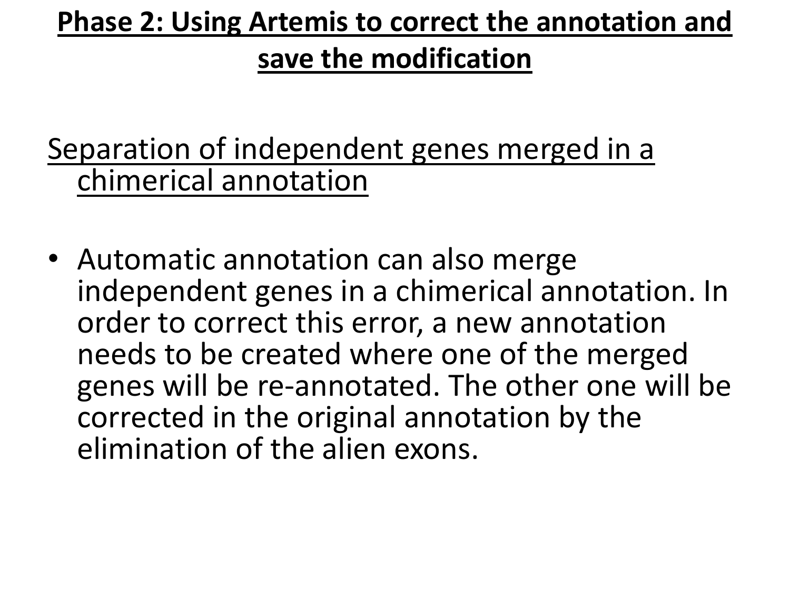#### **save the modification**

Separation of independent genes merged in a chimerical annotation

• Automatic annotation can also merge independent genes in a chimerical annotation. In order to correct this error, a new annotation needs to be created where one of the merged genes will be re-annotated. The other one will be corrected in the original annotation by the elimination of the alien exons.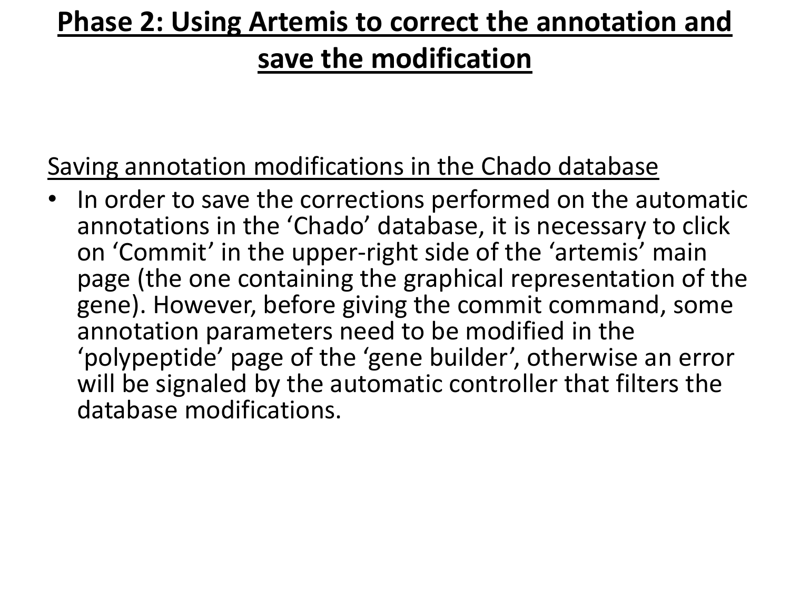Saving annotation modifications in the Chado database

In order to save the corrections performed on the automatic annotations in the 'Chado' database, it is necessary to click on 'Commit' in the upper-right side of the 'artemis' main page (the one containing the graphical representation of the gene). However, before giving the commit command, some annotation parameters need to be modified in the 'polypeptide' page of the 'gene builder', otherwise an error will be signaled by the automatic controller that filters the database modifications.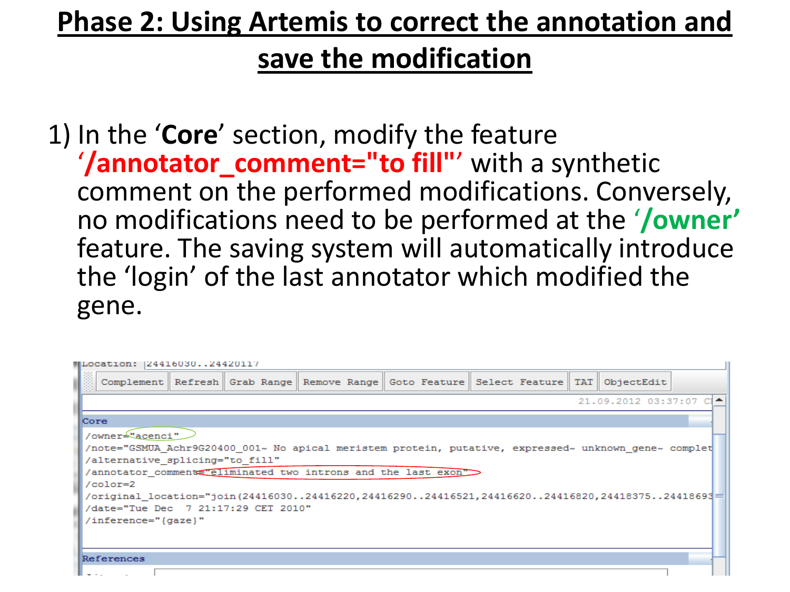1) In the '**Core**' section, modify the feature '/annotator comment="to fill"' with a synthetic comment on the performed modifications. Conversely, no modifications need to be performed at the '**/owner'** feature. The saving system will automatically introduce the 'login' of the last annotator which modified the gene.

| MLocation: 12441603024420117        |  |  |  |                                                               |                                                                                                           |  |  |  |  |  |  |  |
|-------------------------------------|--|--|--|---------------------------------------------------------------|-----------------------------------------------------------------------------------------------------------|--|--|--|--|--|--|--|
|                                     |  |  |  |                                                               | Complement   Refresh    Grab Range    Remove Range    Goto Feature    Select Feature    TAT    ObjectEdit |  |  |  |  |  |  |  |
| 21.09.2012 03:37:07 CI▲I            |  |  |  |                                                               |                                                                                                           |  |  |  |  |  |  |  |
| <b>Core</b>                         |  |  |  |                                                               |                                                                                                           |  |  |  |  |  |  |  |
| /owner <sup>4</sup> acenci"         |  |  |  |                                                               |                                                                                                           |  |  |  |  |  |  |  |
|                                     |  |  |  |                                                               | note="GSMUA Achr9G20400 001~ No apical meristem protein, putative, expressed~ unknown gene~ complet       |  |  |  |  |  |  |  |
| /alternative splicing="to fill"     |  |  |  |                                                               |                                                                                                           |  |  |  |  |  |  |  |
|                                     |  |  |  | /annotator comment reliminated two introns and the last exon" |                                                                                                           |  |  |  |  |  |  |  |
| $/color=2$                          |  |  |  |                                                               |                                                                                                           |  |  |  |  |  |  |  |
|                                     |  |  |  |                                                               |                                                                                                           |  |  |  |  |  |  |  |
| /date="Tue Dec 7 21:17:29 CET 2010" |  |  |  |                                                               |                                                                                                           |  |  |  |  |  |  |  |
| /inference="{gaze}"                 |  |  |  |                                                               |                                                                                                           |  |  |  |  |  |  |  |
|                                     |  |  |  |                                                               |                                                                                                           |  |  |  |  |  |  |  |
|                                     |  |  |  |                                                               |                                                                                                           |  |  |  |  |  |  |  |
| References                          |  |  |  |                                                               |                                                                                                           |  |  |  |  |  |  |  |
|                                     |  |  |  |                                                               |                                                                                                           |  |  |  |  |  |  |  |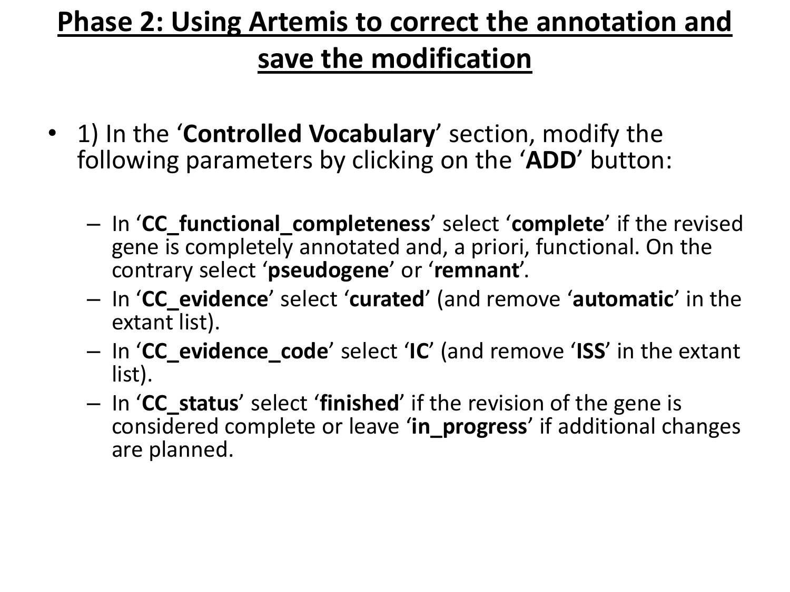- 1) In the '**Controlled Vocabulary**' section, modify the following parameters by clicking on the '**ADD**' button:
	- In '**CC\_functional\_completeness**' select '**complete**' if the revised gene is completely annotated and, a priori, functional. On the contrary select '**pseudogene**' or '**remnant**'.
	- In '**CC\_evidence**' select '**curated**' (and remove '**automatic**' in the extant list).
	- In '**CC\_evidence\_code**' select '**IC**' (and remove '**ISS**' in the extant list).
	- In '**CC\_status**' select '**finished**' if the revision of the gene is considered complete or leave '**in\_progress**' if additional changes are planned.